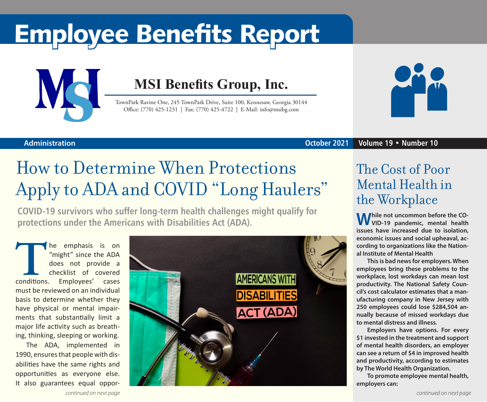# Employee Benefits Report



### **MSI Benefits Group, Inc.**

TownPark Ravine One, 245 TownPark Drive, Suite 100, Kennesaw, Georgia 30144 Office: (770) 425-1231 | Fax: (770) 425-4722 | E-Mail: info@msibg.com



### **Administration**

### **October 2021 Volume 19 • Number 10**

# How to Determine When Protections Apply to ADA and COVID "Long Haulers"

**COVID-19 survivors who suffer long-term health challenges might qualify for protections under the Americans with Disabilities Act (ADA).**

The emphasis is on "might" since the ADA does not provide a checklist of covered conditions. Employees' cases "might" since the ADA does not provide a checklist of covered must be reviewed on an individual basis to determine whether they have physical or mental impairments that substantially limit a major life activity such as breathing, thinking, sleeping or working.

The ADA, implemented in 1990, ensures that people with disabilities have the same rights and opportunities as everyone else. It also guarantees equal oppor-



### The Cost of Poor Mental Health in the Workplace

**While not uncommon before the CO-VID-19 pandemic, mental health issues have increased due to isolation, economic issues and social upheaval, according to organizations like the National Institute of Mental Health** 

**This is bad news for employers. When employees bring these problems to the workplace, lost workdays can mean lost productivity. The National Safety Council's cost calculator estimates that a manufacturing company in New Jersey with 250 employees could lose \$284,504 annually because of missed workdays due to mental distress and illness.**

**Employers have options. For every \$1 invested in the treatment and support of mental health disorders, an employer can see a return of \$4 in improved health and productivity, according to estimates by The World Health Organization.**

**To promote employee mental health, employers can:**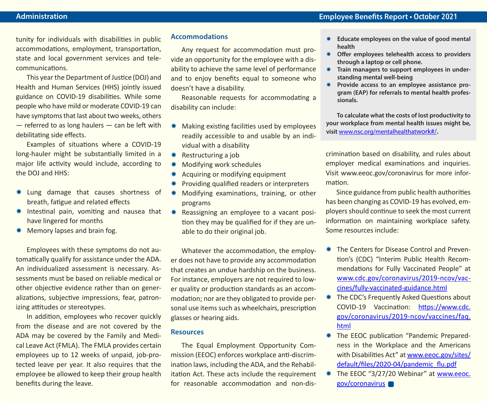tunity for individuals with disabilities in public accommodations, employment, transportation, state and local government services and telecommunications.

This year the Department of Justice (DOJ) and Health and Human Services (HHS) jointly issued guidance on COVID-19 disabilities. While some people who have mild or moderate COVID-19 can have symptoms that last about two weeks, others  $-$  referred to as long haulers  $-$  can be left with debilitating side effects.

Examples of situations where a COVID-19 long-hauler might be substantially limited in a major life activity would include, according to the DOJ and HHS:

- \* Lung damage that causes shortness of breath, fatigue and related effects
- \* Intestinal pain, vomiting and nausea that have lingered for months
- \* Memory lapses and brain fog.

Employees with these symptoms do not automatically qualify for assistance under the ADA. An individualized assessment is necessary. Assessments must be based on reliable medical or other objective evidence rather than on generalizations, subjective impressions, fear, patronizing attitudes or stereotypes.

In addition, employees who recover quickly from the disease and are not covered by the ADA may be covered by the Family and Medical Leave Act (FMLA). The FMLA provides certain employees up to 12 weeks of unpaid, job-protected leave per year. It also requires that the employee be allowed to keep their group health benefits during the leave.

#### **Accommodations**

Any request for accommodation must provide an opportunity for the employee with a disability to achieve the same level of performance and to enjoy benefits equal to someone who doesn't have a disability.

Reasonable requests for accommodating a disability can include:

- $*$  Making existing facilities used by employees readily accessible to and usable by an individual with a disability
- \* Restructuring a job
- Modifying work schedules
- Acquiring or modifying equipment
- Providing qualified readers or interpreters
- Modifying examinations, training, or other programs
- **\*** Reassigning an employee to a vacant position they may be qualified for if they are unable to do their original job.

Whatever the accommodation, the employer does not have to provide any accommodation that creates an undue hardship on the business. For instance, employers are not required to lower quality or production standards as an accommodation; nor are they obligated to provide personal use items such as wheelchairs, prescription glasses or hearing aids.

#### **Resources**

The Equal Employment Opportunity Commission (EEOC) enforces workplace anti-discrimination laws, including the ADA, and the Rehabilitation Act. These acts include the requirement for reasonable accommodation and non-dis-

- \* Educate employees on the value of good mental **health**
- **Offer employees telehealth access to providers through a laptop or cell phone.**
- **\*** Train managers to support employees in under**standing mental well-being**
- Provide access to an employee assistance pro**gram (EAP) for referrals to mental health professionals.**

**To calculate what the costs of lost productivity to your workplace from mental health issues might be, visit** www.nsc.org/mentalhealthatwork#/**.**

crimination based on disability, and rules about employer medical examinations and inquiries. Visit www.eeoc.gov/coronavirus for more information.

Since guidance from public health authorities has been changing as COVID-19 has evolved, employers should continue to seek the most current information on maintaining workplace safety. Some resources include:

- **\* The Centers for Disease Control and Preven**tion's (CDC) "Interim Public Health Recommendations for Fully Vaccinated People" at www.cdc.gov/coronavirus/2019-ncov/vaccines/fully-vaccinated-guidance.html
- The CDC's Frequently Asked Questions about COVID-19 Vaccination: https://www.cdc. gov/coronavirus/2019-ncov/vaccines/faq. html
- **\* The EEOC publication "Pandemic Prepared**ness in the Workplace and the Americans with Disabilities Act" at www.eeoc.gov/sites/ default/files/2020-04/pandemic\_flu.pdf
- The EEOC "3/27/20 Webinar" at www.eeoc. gov/coronavirus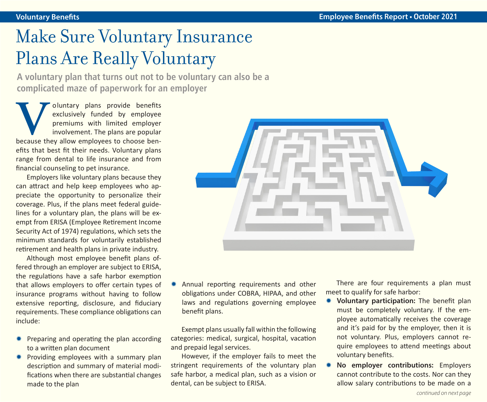# Make Sure Voluntary Insurance Plans Are Really Voluntary

**A voluntary plan that turns out not to be voluntary can also be a complicated maze of paperwork for an employer**

**V**oluntary plans provide benefits exclusively funded by employee premiums with limited employer involvement. The plans are popular because they allow employees to choose benexclusively funded by employee premiums with limited employer involvement. The plans are popular efits that best fit their needs. Voluntary plans range from dental to life insurance and from financial counseling to pet insurance.

Employers like voluntary plans because they can attract and help keep employees who appreciate the opportunity to personalize their coverage. Plus, if the plans meet federal guidelines for a voluntary plan, the plans will be exempt from ERISA (Employee Retirement Income Security Act of 1974) regulations, which sets the minimum standards for voluntarily established retirement and health plans in private industry.

Although most employee benefit plans offered through an employer are subject to ERISA, the regulations have a safe harbor exemption that allows employers to offer certain types of insurance programs without having to follow extensive reporting, disclosure, and fiduciary requirements. These compliance obligations can include:

- Preparing and operating the plan according to a written plan document
- \* Providing employees with a summary plan description and summary of material modifications when there are substantial changes made to the plan



Annual reporting requirements and other obligations under COBRA, HIPAA, and other laws and regulations governing employee benefit plans.

Exempt plans usually fall within the following categories: medical, surgical, hospital, vacation and prepaid legal services.

However, if the employer fails to meet the stringent requirements of the voluntary plan safe harbor, a medical plan, such as a vision or dental, can be subject to ERISA.

There are four requirements a plan must meet to qualify for safe harbor:

- Y **Voluntary participation:** The benefit plan must be completely voluntary. If the employee automatically receives the coverage and it's paid for by the employer, then it is not voluntary. Plus, employers cannot require employees to attend meetings about voluntary benefits.
- No employer contributions: Employers cannot contribute to the costs. Nor can they allow salary contributions to be made on a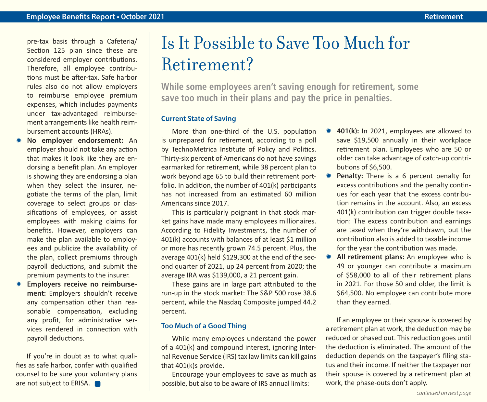pre-tax basis through a Cafeteria/ Section 125 plan since these are considered employer contributions. Therefore, all employee contributions must be after-tax. Safe harbor rules also do not allow employers to reimburse employee premium expenses, which includes payments under tax-advantaged reimbursement arrangements like health reimbursement accounts (HRAs).

- No employer endorsement: An employer should not take any action that makes it look like they are endorsing a benefit plan. An employer is showing they are endorsing a plan when they select the insurer, negotiate the terms of the plan, limit coverage to select groups or classifications of employees, or assist employees with making claims for benefits. However, employers can make the plan available to employees and publicize the availability of the plan, collect premiums through payroll deductions, and submit the premium payments to the insurer.
- **Employers receive no reimbursement:** Employers shouldn't receive any compensation other than reasonable compensation, excluding any profit, for administrative services rendered in connection with payroll deductions.

If you're in doubt as to what qualifies as safe harbor, confer with qualified counsel to be sure your voluntary plans are not subject to ERISA.

### Is It Possible to Save Too Much for Retirement?

**While some employees aren't saving enough for retirement, some save too much in their plans and pay the price in penalties.**

### **Current State of Saving**

More than one-third of the U.S. population is unprepared for retirement, according to a poll by TechnoMetrica Institute of Policy and Politics. Thirty-six percent of Americans do not have savings earmarked for retirement, while 38 percent plan to work beyond age 65 to build their retirement portfolio. In addition, the number of 401(k) participants has not increased from an estimated 60 million Americans since 2017.

This is particularly poignant in that stock market gains have made many employees millionaires. According to Fidelity Investments, the number of 401(k) accounts with balances of at least \$1 million or more has recently grown 74.5 percent. Plus, the average 401(k) held \$129,300 at the end of the second quarter of 2021, up 24 percent from 2020; the average IRA was \$139,000, a 21 percent gain.

These gains are in large part attributed to the run-up in the stock market: The S&P 500 rose 38.6 percent, while the Nasdaq Composite jumped 44.2 percent.

#### **Too Much of a Good Thing**

While many employees understand the power of a 401(k) and compound interest, ignoring Internal Revenue Service (IRS) tax law limits can kill gains that 401(k)s provide.

Encourage your employees to save as much as possible, but also to be aware of IRS annual limits:

- 401(k): In 2021, employees are allowed to save \$19,500 annually in their workplace retirement plan. Employees who are 50 or older can take advantage of catch-up contributions of \$6,500.
- **\*** Penalty: There is a 6 percent penalty for excess contributions and the penalty continues for each year that the excess contribution remains in the account. Also, an excess 401(k) contribution can trigger double taxation: The excess contribution and earnings are taxed when they're withdrawn, but the contribution also is added to taxable income for the year the contribution was made.
- \* All retirement plans: An employee who is 49 or younger can contribute a maximum of \$58,000 to all of their retirement plans in 2021. For those 50 and older, the limit is \$64,500. No employee can contribute more than they earned.

If an employee or their spouse is covered by a retirement plan at work, the deduction may be reduced or phased out. This reduction goes until the deduction is eliminated. The amount of the deduction depends on the taxpayer's filing status and their income. If neither the taxpayer nor their spouse is covered by a retirement plan at work, the phase-outs don't apply.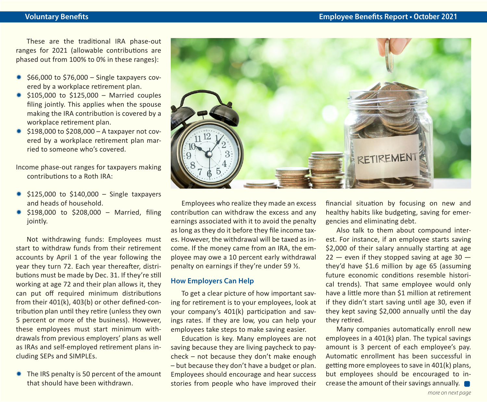These are the traditional IRA phase-out ranges for 2021 (allowable contributions are phased out from 100% to 0% in these ranges):

- $*$  \$66,000 to \$76,000 Single taxpayers covered by a workplace retirement plan.
- $*$  \$105,000 to \$125,000 Married couples filing jointly. This applies when the spouse making the IRA contribution is covered by a workplace retirement plan.
- $*$ \$198,000 to \$208,000 A taxpayer not covered by a workplace retirement plan married to someone who's covered.

Income phase-out ranges for taxpayers making contributions to a Roth IRA:

- $$125,000$  to  $$140,000$  Single taxpayers and heads of household.
- $*$  \$198,000 to \$208,000 Married, filing jointly.

Not withdrawing funds: Employees must start to withdraw funds from their retirement accounts by April 1 of the year following the year they turn 72. Each year thereafter, distributions must be made by Dec. 31. If they're still working at age 72 and their plan allows it, they can put off required minimum distributions from their 401(k), 403(b) or other defined-contribution plan until they retire (unless they own 5 percent or more of the business). However, these employees must start minimum withdrawals from previous employers' plans as well as IRAs and self-employed retirement plans including SEPs and SIMPLEs.

\* The IRS penalty is 50 percent of the amount that should have been withdrawn.



Employees who realize they made an excess contribution can withdraw the excess and any earnings associated with it to avoid the penalty as long as they do it before they file income taxes. However, the withdrawal will be taxed as income. If the money came from an IRA, the employee may owe a 10 percent early withdrawal penalty on earnings if they're under 59 ½.

#### **How Employers Can Help**

To get a clear picture of how important saving for retirement is to your employees, look at your company's 401(k) participation and savings rates. If they are low, you can help your employees take steps to make saving easier.

Education is key. Many employees are not saving because they are living paycheck to paycheck – not because they don't make enough – but because they don't have a budget or plan. Employees should encourage and hear success stories from people who have improved their

financial situation by focusing on new and healthy habits like budgeting, saving for emergencies and eliminating debt.

Also talk to them about compound interest. For instance, if an employee starts saving \$2,000 of their salary annually starting at age  $22 -$  even if they stopped saving at age 30  $$ they'd have \$1.6 million by age 65 (assuming future economic conditions resemble historical trends). That same employee would only have a little more than \$1 million at retirement if they didn't start saving until age 30, even if they kept saving \$2,000 annually until the day they retired.

Many companies automatically enroll new employees in a 401(k) plan. The typical savings amount is 3 percent of each employee's pay. Automatic enrollment has been successful in getting more employees to save in 401(k) plans, but employees should be encouraged to increase the amount of their savings annually.